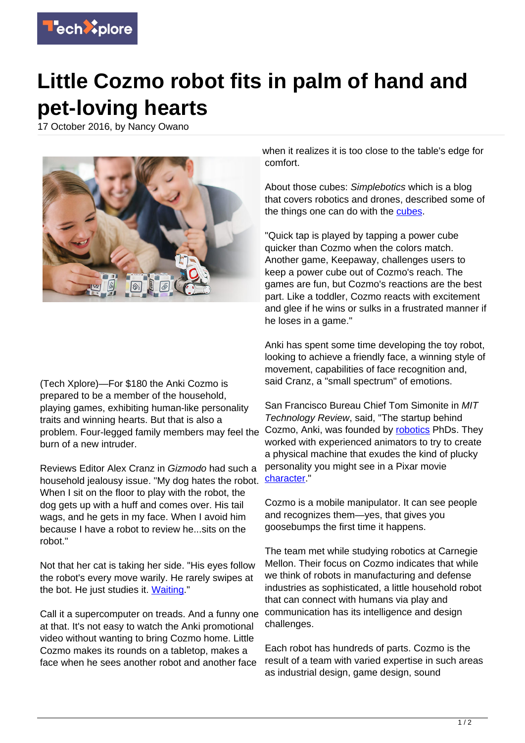

## **Little Cozmo robot fits in palm of hand and pet-loving hearts**

17 October 2016, by Nancy Owano



(Tech Xplore)—For \$180 the Anki Cozmo is prepared to be a member of the household, playing games, exhibiting human-like personality traits and winning hearts. But that is also a problem. Four-legged family members may feel the burn of a new intruder.

Reviews Editor Alex Cranz in Gizmodo had such a household jealousy issue. "My dog hates the robot. When I sit on the floor to play with the robot, the dog gets up with a huff and comes over. His tail wags, and he gets in my face. When I avoid him because I have a robot to review he...sits on the robot."

Not that her cat is taking her side. "His eyes follow the robot's every move warily. He rarely swipes at the bot. He just studies it. [Waiting.](http://gizmodo.com/this-robot-is-trying-to-replace-my-dog-1787758397)"

Call it a supercomputer on treads. And a funny one at that. It's not easy to watch the Anki promotional video without wanting to bring Cozmo home. Little Cozmo makes its rounds on a tabletop, makes a face when he sees another robot and another face

when it realizes it is too close to the table's edge for comfort.

About those cubes: Simplebotics which is a blog that covers robotics and drones, described some of the things one can do with the [cubes](http://www.simplebotics.com/2016/10/review-ankis-cozmo-is-a-super-smart-playful-and-adorable-toy-robot.html).

"Quick tap is played by tapping a power cube quicker than Cozmo when the colors match. Another game, Keepaway, challenges users to keep a power cube out of Cozmo's reach. The games are fun, but Cozmo's reactions are the best part. Like a toddler, Cozmo reacts with excitement and glee if he wins or sulks in a frustrated manner if he loses in a game."

Anki has spent some time developing the toy robot, looking to achieve a friendly face, a winning style of movement, capabilities of face recognition and, said Cranz, a "small spectrum" of emotions.

San Francisco Bureau Chief Tom Simonite in MIT Technology Review, said, "The startup behind Cozmo, Anki, was founded by [robotics](https://www.technologyreview.com/s/602657/watch-a-plucky-little-robot-that-wants-to-play/) PhDs. They worked with experienced animators to try to create a physical machine that exudes the kind of plucky personality you might see in a Pixar movie [character](https://www.technologyreview.com/s/602657/watch-a-plucky-little-robot-that-wants-to-play/)."

Cozmo is a mobile manipulator. It can see people and recognizes them—yes, that gives you goosebumps the first time it happens.

The team met while studying robotics at Carnegie Mellon. Their focus on Cozmo indicates that while we think of robots in manufacturing and defense industries as sophisticated, a little household robot that can connect with humans via play and communication has its intelligence and design challenges.

Each robot has hundreds of parts. Cozmo is the result of a team with varied expertise in such areas as industrial design, game design, sound